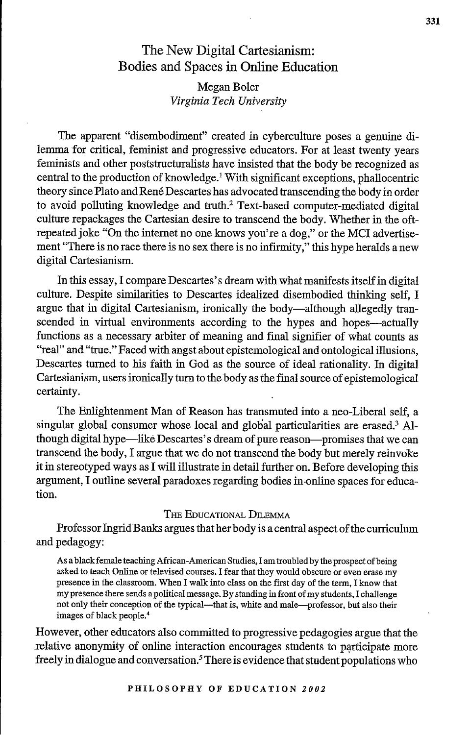# The New Digital Cartesianism: Bodies and Spaces in Online Education

Megan Boler *Virginia Tech University*

The apparent "disembodiment" created in cyberculture poses a genuine dilemma for critical, feminist and progressive educators. For at least twenty years feminists and other poststructuralists have insisted that the body be recognized as central to the production of knowledge.' With significant exceptions, phallocentric theory since Plato and René Descartes has advocated transcending the body in order to avoid polluting knowledge and truth.<sup>2</sup> Text-based computer-mediated digital culture repackages the Cartesian desire to transcend the body. Whether in the oftrepeated joke "On the internet no one knows you're a dog," or the MCI advertisement "There is no race there is no sex there is no infirmity," this hype heralds a new digital Cartesianism.

In this essay, I compare Descartes's dream with what manifests itself in digital culture. Despite similarities to Descartes idealized disembodied thinking self, I argue that in digital Cartesianism, ironically the body-although allegedly transcended in virtual environments according to the hypes and hopes—actually functions as a necessary arbiter of meaning and final signifier of what counts as "real" and "true." Faced with angst about epistemological and ontological illusions, Descartes turned to his faith in God as the source of ideal rationality. In digital Cartesianism, users ironically turn to the body as the final source of epistemological certainty.

The Enlightenment Man of Reason has transmuted into a neo-Liberal self, a singular global consumer whose local and global particularities are erased.<sup>3</sup> Although digital hype—like Descartes's dream of pure reason—promises that we can transcend the body, I argue that we do not transcend the body but merely reinvoke it in stereotyped ways as I will illustrate in detail further on. Before developing this argument, I outline several paradoxes regarding bodies in-online spaces for education.

## THE EDUCATIONAL DILEMMA

Professor Ingrid Banks argues that her body is a central aspect of the curriculum and pedagogy:

As a black female teaching African-American Studies, I am troubled by the prospect of being asked to teach Online or televised courses. I fear that they would obscure or even erase my presence in the classroom. When I walk into class on the first day of the term, I know that my presence there sends a political message. By standing in front of my students, I challenge not only their conception of the typical-that is, white and male-professor, but also their images of black people.<sup>4</sup>

However, other educators also committed to progressive pedagogies argue that the relative anonymity of online interaction encourages students to participate more freely in dialogue and conversation. <sup>5</sup> There is evidence that student populations who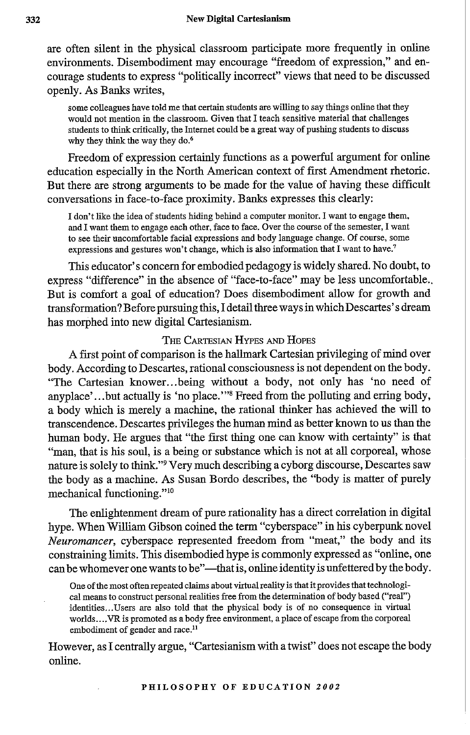are often silent in the physical classroom participate more frequently in online environments. Disembodiment may encourage "freedom of expression," and encourage students to express "politically incorrect" views that need to be discussed openly. As Banks writes,

some colleagues have told me that certain students are willing to say things online that they would not mention in the classroom. Given that I teach sensitive material that challenges students to think critically, the Internet could be a great way of pushing students to discuss why they think the way they do.<sup>6</sup>

Freedom of expression certainly functions as a powerful argument for online education especially in the North American context of first Amendment rhetoric. But there are strong arguments to be made for the value of having these difficult conversations in face-to-face proximity. Banks expresses this clearly:

I don't like the idea of students hiding behind a computer monitor. I want to engage them. and I want them to engage each other, face to face. Over the course of the semester, I want to see their uncomfortable facial expressions and body language change. Of course, some expressions and gestures won't change, which is also information that I want to have.<sup>7</sup>

This educator's concem for embodied pedagogy is widely shared. No doubt, to express "difference" in the absence of "face-to-face" may be less uncomfortable.. But is comfort a goal of education? Does disembodiment allow for growth and transformation? Before pursuing this, I detail three ways in whichDescartes' s dream has morphed into new digital Cartesianism.

## THE CARTEsIAN HYPES AND HOPES

A first point of comparison is the hallmark Cartesian privileging of mind over body. According to Descartes, rational consciousness is not dependent on the body. "The Cartesian knower.. .being without a body, not only has 'no need of anyplace'...but actually is 'no place."'" Freed from the polluting and erring body, a body which is merely a machine, the rational thinker has achieved the will to transcendence. Descartes privileges the human mind as better known to us than the human body. He argues that "the first thing one can know with certainty" is that "man, that is his soul, is a being or substance which is not at all corporeal, whose nature is solely to think."9 Very much describing a cyborg discourse, Descartes saw the body as a machine. As Susan Bordo describes, the "body is matter of purely mechanical functioning."<sup>10</sup>

The enlightenment dream of pure rationality has a direct correlation in digital hype. When William Gibson coined the term "cyberspace" in his cyberpunk novel *Neuromancer,* cyberspace represented freedom from "meat," the body and its constraining limits. This disembodied hype is commonly expressed as "online, one can be whomever one wants to be"—that is, online identity is unfettered by the body.

One of the most often repeated claims about virtual reality is that it provides that technological means to construct personal realities free from the determination of body based ("real") identities.. .Users are also told that the physical body is of no consequence in virtual worlds... **.VR** is promoted as a body free environment, a place of escape from the corporeal embodiment of gender and race.<sup>11</sup>

However, as I centrally argue, "Cartesianism with a twist" does not escape the body online.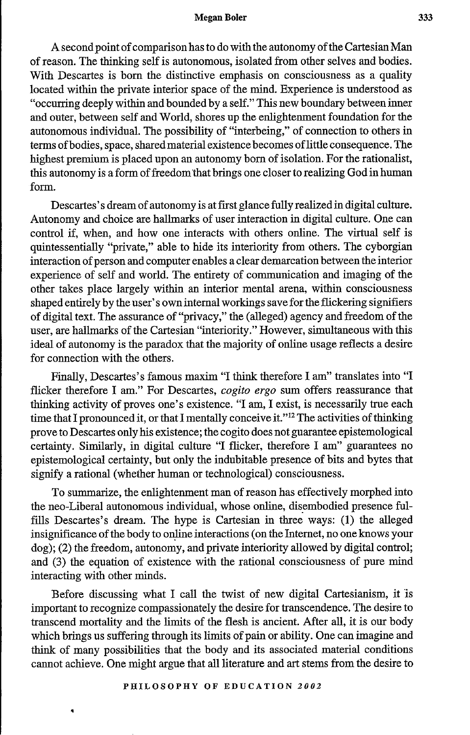#### **Megan Boler**

A second point of comparison has to do with the autonomy of the Cartesian Man of reason. The thinking self is autonomous, isolated from other selves and bodies. With Descartes is born the distinctive emphasis on consciousness as a quality located within the private interior space of the mind. Experience is understood as "occurring deeply within and bounded by a self." This new boundary between inner and outer, between self and World, shores up the enlightenment foundation for the autonomous individual. The possibility of "interbeing," of connection to others in terms of bodies, space, shared material existence becomes of little consequence. The highest premium is placed upon an autonomy born of isolation. For the rationalist, this autonomy is a form of freedom that brings one closer to realizing God in human form.

Descartes's dream of autonomy is at first glance fully realized in digital culture. Autonomy and choice are hallmarks of user interaction in digital culture. One can control if, when, and how one interacts with others online. The virtual self is quintessentially "private," able to hide its interiority from others. The cyborgian interaction of person and computer enables a clear demarcation between the interior experience of self and world. The entirety of communication and imaging of the other takes place largely within an interior mental arena, within consciousness shaped entirely by the user's own internal workings save for the flickering signifiers of digital text. The assurance of "privacy," the (alleged) agency and freedom of the user, are hallmarks of the Cartesian "interiority." However, simultaneous with this ideal of autonomy is the paradox that the majority of online usage reflects a desire for connection with the others.

Finally, Descartes's famous maxim "I think therefore I am" translates into "I flicker therefore I am." For Descartes, *cogito ergo* sum offers reassurance that thinking activity of proves one's existence. "I am, I exist, is necessarily true each time that I pronounced it, or that I mentally conceive it."<sup>12</sup> The activities of thinking prove to Descartes only his existence; the cogito does not guarantee epistemological certainty. Similarly, in digital culture "I flicker, therefore I am" guarantees no epistemological certainty, but only the indubitable presence of bits and bytes that signify a rational (whether human or technological) consciousness.

To summarize, the enlightenment man of reason has effectively morphed into the neo-Liberal autonomous individual, whose online, disembodied presence fulfills Descartes's dream. The hype is Cartesian in three ways: (1) the alleged insignificance of the body to online interactions (on the Internet, no one knows your dog); (2) the freedom, autonomy, and private interiority allowed by digital control; and (3) the equation of existence with the rational consciousness of pure mind interacting with other minds.

Before discussing what I call the twist of new digital Cartesianism, it is important to recognize compassionately the desire for transcendence. The desire to transcend mortality and the limits of the flesh is ancient. After all, it is our body which brings us suffering through its limits of pain or ability. One can imagine and think of many possibilities that the body and its associated material conditions cannot achieve. One might argue that all literature and art stems from the desire to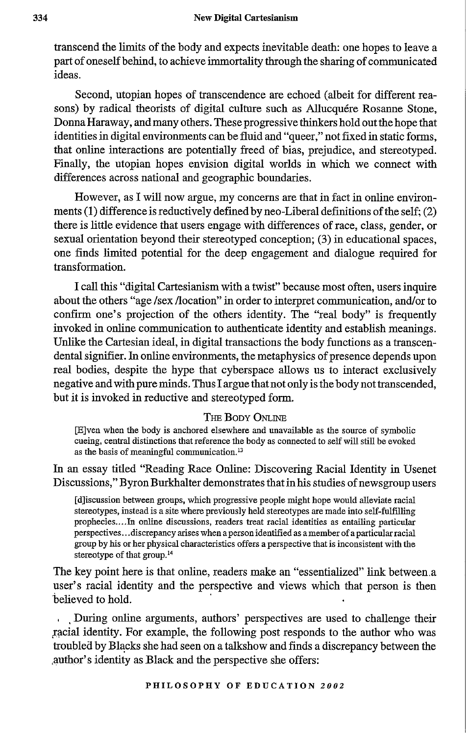transcend the limits of the body and expects inevitable death: one hopes to leave a part of oneself behind, to achieve immortality through the sharing of communicated ideas.

Second, utopian hopes of transcendence are echoed (albeit for different reasons) by radical theorists of digital culture such as Allucquere Rosanne Stone, Donna Haraway, and many others. These progressive thinkers hold out the hope that identities in digital environments can be fluid and "queer," not fixed in static forms, that online interactions are potentially freed of bias, prejudice, and stereotyped. Finally, the utopian hopes envision digital worlds in which we connect with differences across national and geographic boundaries.

However, as I will now argue, my concerns are that in fact in online environments  $(1)$  difference is reductively defined by neo-Liberal definitions of the self;  $(2)$ there is little evidence that users engage with differences of race, class, gender, or sexual orientation beyond their stereotyped conception; (3) in educational spaces, one finds limited potential for the deep engagement and dialogue required for transformation.

I call this "digital Cartesianism with a twist" because most often, users inquire about the others "age /sex /location" in order to interpret communication, and/or to confirm one's projection of the others identity. The "real body" is frequently invoked in online communication to authenticate identity and establish meanings. Unlike the Cartesian ideal, in digital transactions the body functions as a transcendental signifier. In online environments, the metaphysics of presence depends upon real bodies, despite the hype that cyberspace allows us to interact exclusively negative and with pure minds. Thus I argue that not only is the body not transcended, but it is invoked in reductive and stereotyped form.

## THE BODY ONLINE

[E]ven when the body is anchored elsewhere and unavailable as the source of symbolic cueing, central distinctions that reference the body as connected to self will still be evoked as the basis of meaningful communication.<sup>13</sup>

In an essay titled "Reading Race Online: Discovering Racial Identity in Usenet Discussions," Byron Burkhalter demonstrates that in his studies of newsgroup users

[d]iscussion between groups, which progressive people might hope would alleviate racial stereotypes, instead is a site where previously held stereotypes are made into self-fulfilling prophecies... .In online discussions, readers treat racial identities as entailing particular perspectives.. .discrepancy arises when a person identified as a member of a particular racial group by his or her physical characteristics offers a perspective that is inconsistent with the stereotype of that group.<sup>14</sup>

The key point here is that online, readers make an "essentialized" link between.a user's racial identity and the perspective and views which that person is then believed to hold.

I During online arguments, authors' perspectives are used to challenge their racial identity. For example, the following post responds to the author who was troubled by Blacks she had seen on a talkshow and finds a discrepancy between the author's identity as Black and the perspective she offers: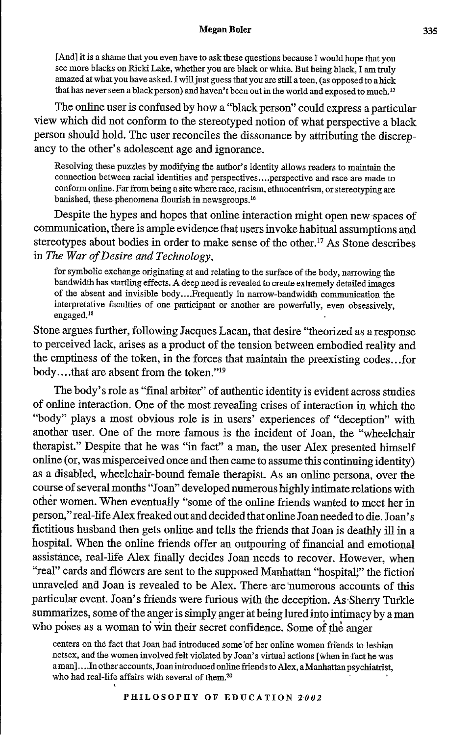### Megan **Boler**

[And] it is a shame that you even have to ask these questions because I would hope that you see more blacks on Ricki Lake, whether you are black or white. But being black, I am truly amazed at what you have asked. I will just guess that you are still a teen, (as opposed to a hick that has never seen a black person) and haven't been out in the world and exposed to much. **15**

The online user is confused by how a "black person" could express a particular view which did not conform to the stereotyped notion of what perspective a black person should hold. The user reconciles the dissonance by attributing the discrepancy to the other's adolescent age and ignorance.

Resolving these puzzles by modifying the author's identity allows readers to maintain the connection between racial identities and perspectives....perspective and race are made to conform online. Far from being a site where race, racism, ethnocentrism, or stereotyping are banished, these phenomena flourish in newsgroups.<sup>16</sup>

Despite the hypes and hopes that online interaction might open new spaces of communication, there is ample evidence that users invoke habitual assumptions and stereotypes about bodies in order to make sense of the other.<sup>17</sup> As Stone describes in *The War of Desire and Technology,*

for symbolic exchange originating at and relating to the surface of the body, narrowing the bandwidth has startling effects. A deep need is revealed to create extremely detailed images of the absent and invisible body....Frequently in narrow-bandwidth communication the interpretative faculties of one participant or another are powerfully, even obsessively, engaged.<sup>18</sup>

Stone argues further, following Jacques Lacan, that desire "theorized as a response to perceived lack, arises as a product of the tension between embodied reality and the emptiness of the token, in the forces that maintain the preexisting codes.. .for body....that are absent from the token."<sup>19</sup>

The body's role as "final arbiter" of authentic identity is evident across studies of online interaction. One of the most revealing crises of interaction in which the "body" plays a most obvious role is in users' experiences of "deception" with another user. One of the more famous is the incident of Joan, the "wheelchair therapist." Despite that he was "in fact" a man, the user Alex presented himself online (or, was misperceived once and then came to assume this continuing identity) as a disabled, wheelchair-bound female therapist. As an online persona, over the course of several months "Joan" developed numerous highly intimate relations with other women. When eventually "some of the online friends wanted to meet her in person," real-life Alex freaked out and decided that online Joan needed to die. Joan's fictitious husband then gets online and tells the friends that Joan is deathly ill in a hospital. When the online friends offer an outpouring of financial and emotional assistance, real-life Alex finally decides Joan needs to recover. However, when "real" cards and flowers are sent to the supposed Manhattan "hospital" the fiction unraveled and Joan is revealed to be Alex. There are'numerous accounts of this particular event. Joan's friends were furious with the deception. As Sherry Turkle summarizes, some of the anger is simply anger at being lured into intimacy by a man who poses as a woman to win their secret confidence. Some of the anger

centers on the fact that Joan had introduced some'of her online women friends to lesbian netsex, and the women involved felt violated by Joan's virtual actions [when in fact he was aman]....In other accounts, Joan introduced online friends to Alex, aManhattan psychiatrist, who had real-life affairs with several of them.<sup>20</sup>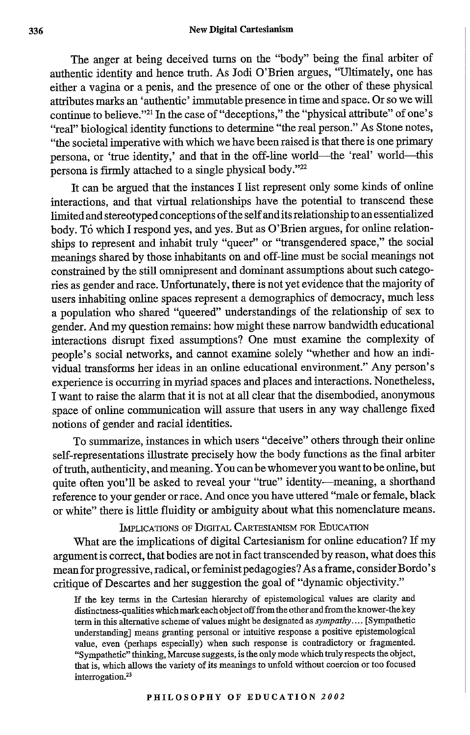The anger at being deceived turns on the "body" being the final arbiter of authentic identity and hence truth. As Jodi O'Brien argues, "Ultimately, one has either a vagina or a penis, and the presence of one or the other of these physical attributes marks an 'authentic' immutable presence in time and space. Or so we will continue to believe."<sup>21</sup> In the case of "deceptions," the "physical attribute" of one's "real" biological identity functions to determine "the real person." As Stone notes, "the societal imperative with which we have been raised is that there is one primary persona, or 'true identity,' and that in the off-line world-the 'real' world-this persona is firmly attached to a single physical body."<sup>22</sup>

It can be argued that the instances I list represent only some kinds of online interactions, and that virtual relationships have the potential to transcend these limited and stereotyped conceptions of the self and its relationship to an essentialized body. To which I respond yes, and yes. But as O'Brien argues, for online relationships to represent and inhabit truly "queer" or "transgendered space," the social meanings shared by those inhabitants on and off-line must be social meanings not constrained by the still omnipresent and dominant assumptions about such categories as gender and race. Unfortunately, there is not yet evidence that the majority of users inhabiting online spaces represent a demographics of democracy, much less a population who shared "queered" understandings of the relationship of sex to gender. And my question remains: how might these narrow bandwidth educational interactions disrupt fixed assumptions? One must examine the complexity of people's social networks, and cannot examine solely "whether and how an individual transforms her ideas in an online educational environment." Any person's experience is occurring in myriad spaces and places and interactions. Nonetheless, I want to raise the alarm that it is not at all clear that the disembodied, anonymous space of online communication will assure that users in any way challenge fixed notions of gender and racial identities.

To summarize, instances in which users "deceive" others through their online self-representations illustrate precisely how the body functions as the final arbiter of truth, authenticity, and meaning. You can be whomever you want to be online, but quite often you'll be asked to reveal your "true" identity-meaning, a shorthand reference to your gender or race. And once you have uttered "male or female, black or white" there is little fluidity or ambiguity about what this nomenclature means.

IMPLICATIONS OF DIGITAL CARTESIANISM FOR EDUCATION

What are the implications of digital Cartesianism for online education? If my argument is correct, that bodies are not in fact transcended by reason, what does this mean for progressive, radical, or feminist pedagogies? As a frame, consider Bordo's critique of Descartes and her suggestion the goal of "dynamic objectivity."

If the key terms in the Cartesian hierarchy of epistemological values are clarity and distinctness-qualities which mark each object off fromthe other and fromtheknower-thekey term in this alternative scheme of values might be designated as *sympathy....* [Sympathetic understanding] means granting personal or intuitive response a positive epistemological value, even (perhaps especially) when such response is contradictory or fragmented. "Sympathetic" thinking, Marcuse suggests, is the only mode which truly respects the object, that is, which allows the variety of its meanings to unfold without coercion or too focused interrogation.<sup>23</sup>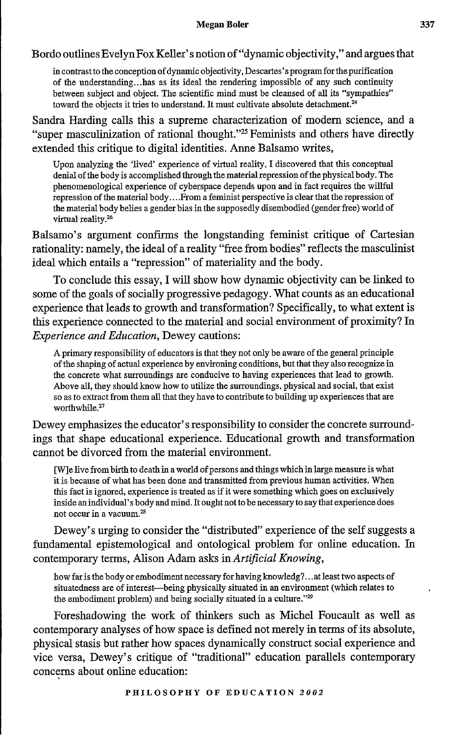Bordo outlines EvelynFox Keller's notion of "dynamic objectivity," and argues that

in contrastto the conception of dynamic objectivity, Descartes's program forthe purification of the understanding.. .has as its ideal the rendering impossible of any such continuity between subject and object. The scientific mind must be cleansed of all its "sympathies" toward the objects it tries to understand. It must cultivate absolute detachment.<sup>24</sup>

Sandra Harding calls this a supreme characterization of modem science, and a "super masculinization of rational thought."<sup>25</sup> Feminists and others have directly extended this critique to digital identities. Anne Balsamo writes,

Upon analyzing the 'lived' experience of virtual reality, I discovered that this conceptual denial of the body is accomplished through the material repression of the physical body. The phenomenological experience of cyberspace depends upon and in fact requires the willful repression of the material body... .From a feminist perspective is clear that the repression of the material body belies a gender bias in the supposedly disembodied (gender free) world of virtual reality.26

Balsamo's argument confirms the longstanding feminist critique of Cartesian rationality: namely, the ideal of a reality "free from bodies" reflects the masculinist ideal which entails a "repression" of materiality and the body.

To conclude this essay, I will show how dynamic objectivity can be linked to some of the goals of socially progressive pedagogy. What counts as an educational experience that leads to growth and transformation? Specifically, to what extent is this experience connected to the material and social environment of proximity? In *Experience and Education,* Dewey cautions:

A primary responsibility of educators is that they not only be aware of the general principle of the shaping of actual experience by environing conditions, but that they also recognize in the concrete what surroundings are conducive to having experiences that lead to growth. Above all, they should know how to utilize the surroundings, physical and social, that exist so as to extract from them all that they have to contribute to building up experiences that are worthwhile.<sup>27</sup>

Dewey emphasizes the educator's responsibility to consider the concrete surroundings that shape educational experience. Educational growth and transformation cannot be divorced from the material environment.

[W]e live from birth to death in a world of persons and things which in large measure is what it is because of what has been done and transmitted from previous human activities. When this fact is ignored, experience is treated as if it were something which goes on exclusively inside an individual's body and mind. It ought not to be necessary to say that experience does not occur in a vacuum.<sup>29</sup>

Dewey's urging to consider the "distributed" experience of the self suggests a fundamental epistemological and ontological problem for online education. In contemporary terms, Alison Adam asks in *Artificial Knowing,*

how far is the body or embodiment necessary for having knowledg?... at least two aspects of situatedness are of interest-being physically situated in an environment (which relates to the embodiment problem) and being socially situated in a culture."29

Foreshadowing the work of thinkers such as Michel Foucault as well as contemporary analyses of how space is defined not merely in terms of its absolute, physical stasis but rather how spaces dynamically construct social experience and vice versa, Dewey's critique of "traditional" education parallels contemporary concerns about online education: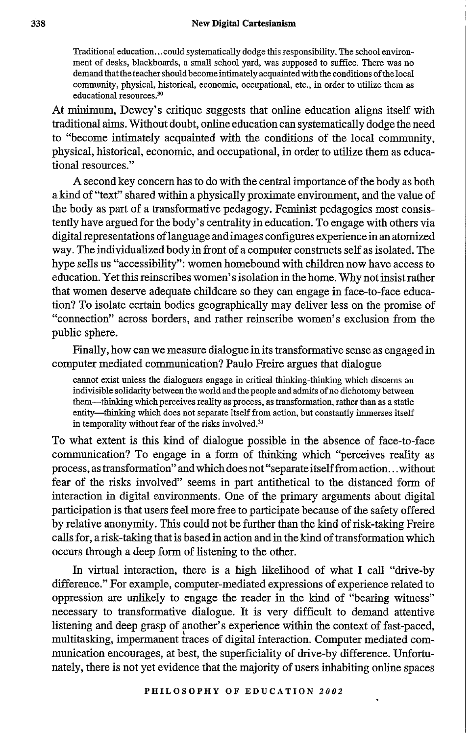Traditional education... .could systematically dodge this responsibility. The school environment of desks, blackboards, a small school yard, was supposed to suffice. There was no demand that the teachershould become intimately acquaintedwith the conditions of the local community, physical, historical, economic, occupational, etc., in order to utilize them as educational resources.<sup>30</sup>

At minimum, Dewey's critique suggests that online education aligns itself with traditional aims. Without doubt, online education can systematically dodge the need to "become intimately acquainted with the conditions of the local community, physical, historical, economic, and occupational, in order to utilize them as educational resources."

A second key concern has to do with the central importance of the body as both a kind of "text" shared within a physically proximate environment, and the value of the body as part of a transformative pedagogy. Feminist pedagogies most consistently have argued for the body's centrality in education. To engage with others via digital representations of language and images configures experience in an atomized way. The individualized body in front of a computer constructs self as isolated. The hype sells us "accessibility": women homebound with children now have access to education. Yet this reinscribes women's isolation in the home. Why not insist rather that women deserve adequate childcare so they can engage in face-to-face education? To isolate certain bodies geographically may deliver less on the promise of "connection" across borders, and rather reinscribe women's exclusion from the public sphere.

Finally, how can we measure dialogue in its transformative sense as engaged in computer mediated communication? Paulo Freire argues that dialogue

cannot exist unless the dialoguers engage in critical thinking-thinking which discerns an indivisible solidarity between the world and the people and admits of no dichotomy between them-thinking which perceives reality as process, as transformation, rather than as a static entity-thinking which does not separate itself from action, but constantly immerses itself in temporality without fear of the risks involved.<sup>31</sup>

To what extent is this kind of dialogue possible in the absence of face-to-face communication? To engage in a form of thinking which "perceives reality as process, as transformation" and which does not "separate itselffrom action ... without fear of the risks involved" seems in part antithetical to the distanced form of interaction in digital environments. One of the primary arguments about digital participation is that users feel more free to participate because of the safety offered by relative anonymity. This could not be further than the kind of risk-taking Freire calls for, a risk-taking that is based in action and in the kind of transformation which occurs through a deep form of listening to the other.

In virtual interaction, there is a high likelihood of what I call "drive-by difference." For example, computer-mediated expressions of experience related to oppression are unlikely to engage the reader in the kind of "bearing witness" necessary to transformative dialogue. It is very difficult to demand attentive listening and deep grasp of another's experience within the context of fast-paced, multitasking, impermanent traces of digital interaction. Computer mediated communication encourages, at best, the superficiality of drive-by difference. Unfortunately, there is not yet evidence that the majority of users inhabiting online spaces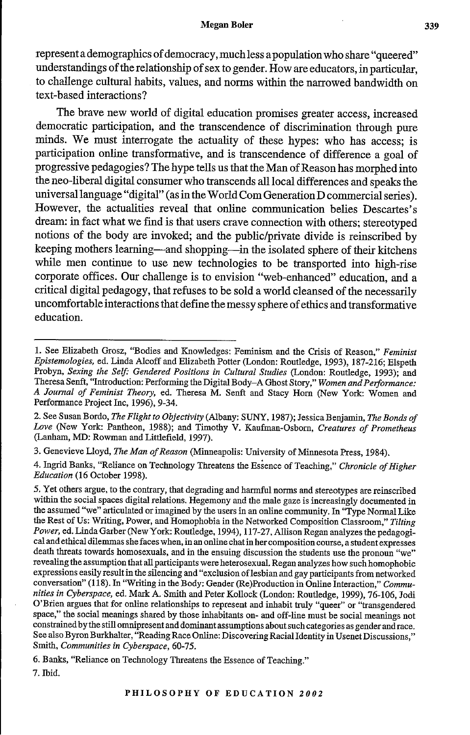represent a demographics of democracy, muchless apopulation who share "queered" understandings of therelationship of sex to gender. How are educators, inparticular, to challenge cultural habits, values, and norms within the narrowed bandwidth on text-based interactions?

The brave new world of digital education promises greater access, increased democratic participation, and the transcendence of discrimination through pure minds. We must interrogate the actuality of these hypes: who has access: is participation online transformative, and is transcendence of difference a goal of progressive pedagogies? The hype tells us that the Man of Reason has morphed into the neo-liberal digital consumer who transcends all local differences and speaks the universal language "digital" (as in the World Com Generation D commercial series). However, the actualities reveal that online communication belies Descartes's dream: in fact what we find is that users crave connection with others; stereotyped notions of the body are invoked; and the public/private divide is reinscribed by keeping mothers learning-and shopping-in the isolated sphere of their kitchens while men continue to use new technologies to be transported into high-rise corporate offices. Our challenge is to envision "web-enhanced" education, and a critical digital pedagogy, that refuses to be sold a world cleansed of the necessarily uncomfortable interactions that define the messy sphere of ethics and transformative education.

<sup>1.</sup> See Elizabeth Grosz, "Bodies and Knowledges: Feminism and the Crisis of Reason," *Feminist Epistemologies,* ed. Linda Alcoff and Elizabeth Potter (London: Routledge, 1993), 187-216; Elspeth Probyn, *Sexing the Self: Gendered Positions in Cultural Studies* (London: Routledge, 1993); and Theresa Senft, "Introduction: Performing the DigitalBody-A Ghost Story," *Women and Performance: A Journal of Feminist Theory,* ed. Theresa M. Senft and Stacy Horn (New York: Women and Performance Project Inc, 1996), 9-34.

<sup>2.</sup> See Susan Bordo, *The Flight to Objectivity* (Albany: SUNY, 1987); Jessica Benjamin, *The Bonds of Love* (New York: Pantheon, 1988); and Timothy V. Kaufman-Osborn, *Creatures of Prometheus* (Lanham, MD: Rowman and Littlefield, 1997).

<sup>3.</sup> Genevieve Lloyd, *The Man of Reason* (Minneapolis: University of Minnesota Press, 1984).

<sup>4.</sup> Ingrid Banks, "Reliance on Technology Threatens the Essence of Teaching," *Chronicle of Higher Education* (16 October 1998).

<sup>5.</sup> Yet others argue, to the contrary, that degrading and harmful norms and stereotypes are reinscribed within the social spaces digital relations. Hegemony and the male gaze is increasingly documented in the assumed "we" articulated or imagined by the users in an online community. In "Type Normal Like the Rest of Us: Writing, Power, and Homophobia in the Networked Composition Classroom," *Tilting Power,* ed. Linda Garber (New York: Routledge, 1994),117-27, Allison Regan analyzes the pedagogical and ethical dilemmas shefaces when, in an online chatinhercomposition course, a studentexpresses death threats towards homosexuals, and in the ensuing discussion the students use the pronoun "we" revealing the assumption that all participants were heterosexual. Regan analyzes how such homophobic expressions easily result in the silencing and "exclusion of lesbian and gay participants from networked conversation" (118). In "Writing in the Body: Gender (Re)Production in Online Interaction," *Communities in Cyberspace,* ed. Mark A. Smith and Peter Kollock (London: Routledge, 1999), 76-106, Jodi O'Brien argues that for online relationships to represent and inhabit truly "queer" or "transgendered space," the social meanings shared by those inhabitants on- and off-line must be social meanings not constrained by the still omnipresent and dominant assumptions about such categories as gender and race. See also Byron Burkhalter, "Reading Race Online: Discovering Racial Identity in Usenet Discussions," Smith, *Communities in Cyberspace, 60-75.*

<sup>6.</sup> Banks, "Reliance on Technology Threatens the Essence of Teaching."

<sup>7.</sup> Ibid.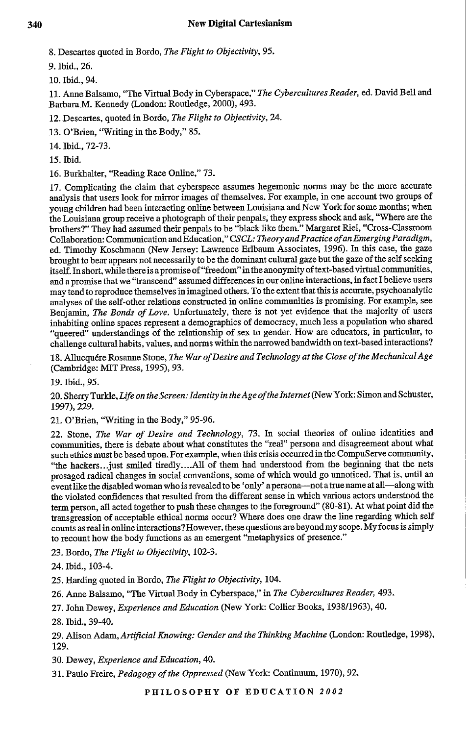8. Descartes quoted in Bordo, *The Flight to Objectivity, 95.*

9. Ibid., 26.

10. Ibid., 94.

11. Anne Balsamo, "The Virtual Body in Cyberspace," *The Cybercultures Reader,* ed. David Bell and Barbara M. Kennedy (London: Routledge, 2000), 493.

12. Descartes, quoted in Bordo, *The Flight to Objectivity,* 24.

13. O'Brien, "Writing in the Body," 85.

14. Ibid., 72-73.

15. Ibid.

16. Burkhalter, "Reading Race Online," 73.

17. Complicating the claim that cyberspace assumes hegemonic norms may be the more accurate analysis that users look for mirror images of themselves. For example, in one account two groups of young children had been interacting online between Louisiana and New York for some months; when the Louisiana group receive a photograph of their penpals, they express shock and ask, "Where are the brothers?" They had assumed their penpals to be "black like them." Margaret Riel, "Cross-Classroom Collaboration: Communication and Education," *CSCL: Theory and Practice of an Emerging Paradigm*, ed. Timothy Koschmann (New Jersey: Lawrence Erlbaum Associates, 1996). In this case, the gaze brought to bear appears not necessarily to be the dominant cultural gaze but the gaze of the self seeking itself. In short, while there is a promise of "freedom" in the anonymity of text-based virtual communities, and a promise that we "transcend" assumed differences in our online interactions, in fact I believe users may tend to reproduce themselves in imagined others. To the extent that this is accurate, psychoanalytic analyses of the self-other relations constructed in online communities is promising. For example, see Benjamin, *The Bonds of Love.* Unfortunately, there is not yet evidence that the majority of users inhabiting online spaces represent a demographics of democracy, much less a population who shared "queered" understandings of the relationship of sex to gender. How are educators, in particular, to challenge cultural habits, values, and norms within the narrowed bandwidth on text-based interactions?

18. Allucquére Rosanne Stone, *The War of Desire and Technology at the Close of the Mechanical Age* (Cambridge: MIT Press, 1995), 93.

19. Ibid., 95.

20. Sherry Turkle, *Life on the Screen: Identity in the Age of the Internet* (New York: Simon and Schuster, 1997), 229.

21. O'Brien, "Writing in the Body," 95-96.

22. Stone, *The War of Desire and Technology,* 73. In social theories of online identities and communities, there is debate about what constitutes the "real" persona and disagreement about what such ethics must be based upon. For example, when this crisis occurred in the CompuServe community, "the hackers...just smiled tiredly....All of them had understood from the beginning that the nets presaged radical changes in social conventions, some of which would go unnoticed. That is, until an event like the disabled woman who is revealed to be 'only' a persona--not a true name at all-along with the violated confidences that resulted from the different sense in which various actors understood the termperson, all acted together to push these changes to the foreground" (80-81). At what point did the transgression of acceptable ethical norms occur? Where does one draw the line regarding which self counts as real in online interactions? However, these questions are beyond my scope. My focus is simply to recount how the body functions as an emergent "metaphysics of presence."

23. Bordo, *The Flight to Objectivity,* 102-3.

24. Ibid., 103-4.

25. Harding quoted in Bordo, *The Flight to Objectivity,* 104.

26. Anne Balsamo, "The Virtual Body in Cyberspace," in *The Cybercultures Reader,* 493.

27. John Dewey, *Experience and Education* (New York: CoDier Books, 1938/1963), 40.

28. Ibid., 39-40.

29. Alison Adam, *Artificial Knowing: Gender and the Thinking Machine* (London: Routledge, 1998), 129.

30. Dewey, *Experience and Education,* 40.

31. Paulo Freire, *Pedagogy of the Oppressed* (New York: Continuum, 1970), 92.